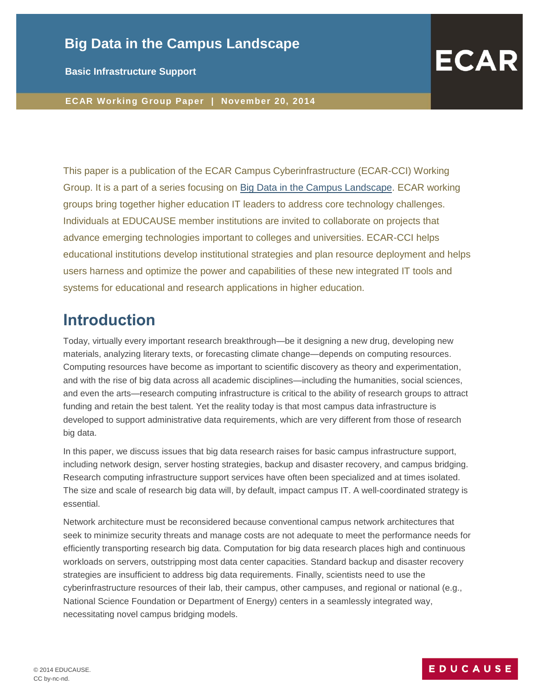## **Big Data in the Campus Landscape**

**Basic Infrastructure Support**

**ECAR Working Group Paper | November 20, 2014**

This paper is a publication of the ECAR Campus Cyberinfrastructure (ECAR-CCI) Working Group. It is a part of a series focusing on [Big Data in the Campus Landscape.](https://www.educause.edu/library/resources/research-big-data-and-campus-cyberinfrastructure) ECAR working groups bring together higher education IT leaders to address core technology challenges. Individuals at EDUCAUSE member institutions are invited to collaborate on projects that advance emerging technologies important to colleges and universities. ECAR-CCI helps educational institutions develop institutional strategies and plan resource deployment and helps users harness and optimize the power and capabilities of these new integrated IT tools and systems for educational and research applications in higher education.

## **Introduction**

Today, virtually every important research breakthrough—be it designing a new drug, developing new materials, analyzing literary texts, or forecasting climate change—depends on computing resources. Computing resources have become as important to scientific discovery as theory and experimentation, and with the rise of big data across all academic disciplines—including the humanities, social sciences, and even the arts—research computing infrastructure is critical to the ability of research groups to attract funding and retain the best talent. Yet the reality today is that most campus data infrastructure is developed to support administrative data requirements, which are very different from those of research big data.

In this paper, we discuss issues that big data research raises for basic campus infrastructure support, including network design, server hosting strategies, backup and disaster recovery, and campus bridging. Research computing infrastructure support services have often been specialized and at times isolated. The size and scale of research big data will, by default, impact campus IT. A well-coordinated strategy is essential.

Network architecture must be reconsidered because conventional campus network architectures that seek to minimize security threats and manage costs are not adequate to meet the performance needs for efficiently transporting research big data. Computation for big data research places high and continuous workloads on servers, outstripping most data center capacities. Standard backup and disaster recovery strategies are insufficient to address big data requirements. Finally, scientists need to use the cyberinfrastructure resources of their lab, their campus, other campuses, and regional or national (e.g., National Science Foundation or Department of Energy) centers in a seamlessly integrated way, necessitating novel campus bridging models.

### EDUCAUSE

**ECAR**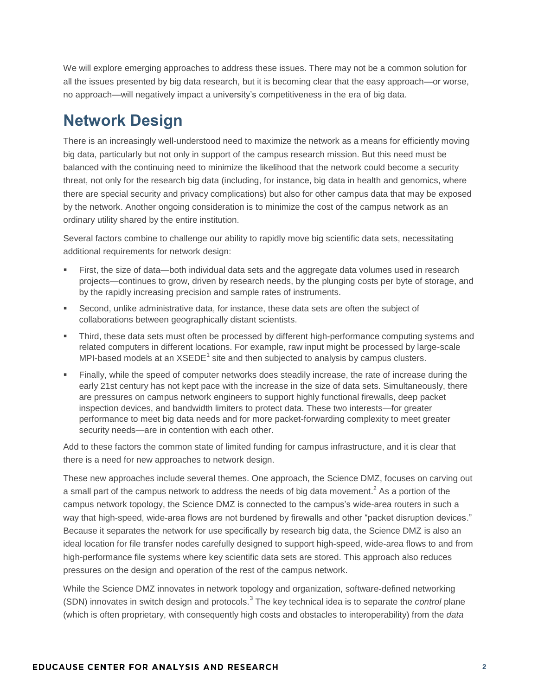We will explore emerging approaches to address these issues. There may not be a common solution for all the issues presented by big data research, but it is becoming clear that the easy approach—or worse, no approach—will negatively impact a university's competitiveness in the era of big data.

# **Network Design**

There is an increasingly well-understood need to maximize the network as a means for efficiently moving big data, particularly but not only in support of the campus research mission. But this need must be balanced with the continuing need to minimize the likelihood that the network could become a security threat, not only for the research big data (including, for instance, big data in health and genomics, where there are special security and privacy complications) but also for other campus data that may be exposed by the network. Another ongoing consideration is to minimize the cost of the campus network as an ordinary utility shared by the entire institution.

Several factors combine to challenge our ability to rapidly move big scientific data sets, necessitating additional requirements for network design:

- First, the size of data—both individual data sets and the aggregate data volumes used in research projects—continues to grow, driven by research needs, by the plunging costs per byte of storage, and by the rapidly increasing precision and sample rates of instruments.
- Second, unlike administrative data, for instance, these data sets are often the subject of collaborations between geographically distant scientists.
- Third, these data sets must often be processed by different high-performance computing systems and related computers in different locations. For example, raw input might be processed by large-scale MPI-based models at an  $XSEDE<sup>1</sup>$  site and then subjected to analysis by campus clusters.
- Finally, while the speed of computer networks does steadily increase, the rate of increase during the early 21st century has not kept pace with the increase in the size of data sets. Simultaneously, there are pressures on campus network engineers to support highly functional firewalls, deep packet inspection devices, and bandwidth limiters to protect data. These two interests—for greater performance to meet big data needs and for more packet-forwarding complexity to meet greater security needs—are in contention with each other.

Add to these factors the common state of limited funding for campus infrastructure, and it is clear that there is a need for new approaches to network design.

These new approaches include several themes. One approach, the Science DMZ, focuses on carving out a small part of the campus network to address the needs of big data movement.<sup>2</sup> As a portion of the campus network topology, the Science DMZ is connected to the campus's wide-area routers in such a way that high-speed, wide-area flows are not burdened by firewalls and other "packet disruption devices." Because it separates the network for use specifically by research big data, the Science DMZ is also an ideal location for file transfer nodes carefully designed to support high-speed, wide-area flows to and from high-performance file systems where key scientific data sets are stored. This approach also reduces pressures on the design and operation of the rest of the campus network.

While the Science DMZ innovates in network topology and organization, software-defined networking (SDN) innovates in switch design and protocols.<sup>3</sup> The key technical idea is to separate the *control* plane (which is often proprietary, with consequently high costs and obstacles to interoperability) from the *data*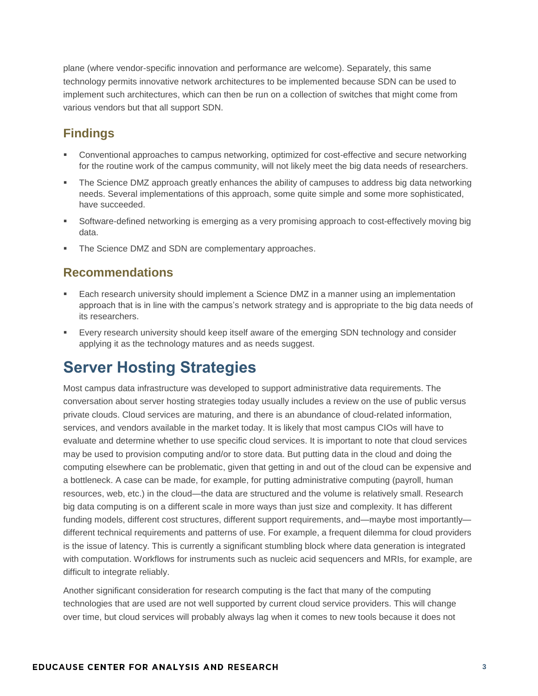plane (where vendor-specific innovation and performance are welcome). Separately, this same technology permits innovative network architectures to be implemented because SDN can be used to implement such architectures, which can then be run on a collection of switches that might come from various vendors but that all support SDN.

## **Findings**

- Conventional approaches to campus networking, optimized for cost-effective and secure networking for the routine work of the campus community, will not likely meet the big data needs of researchers.
- The Science DMZ approach greatly enhances the ability of campuses to address big data networking needs. Several implementations of this approach, some quite simple and some more sophisticated, have succeeded.
- Software-defined networking is emerging as a very promising approach to cost-effectively moving big data.
- The Science DMZ and SDN are complementary approaches.

### **Recommendations**

- Each research university should implement a Science DMZ in a manner using an implementation approach that is in line with the campus's network strategy and is appropriate to the big data needs of its researchers.
- Every research university should keep itself aware of the emerging SDN technology and consider applying it as the technology matures and as needs suggest.

# **Server Hosting Strategies**

Most campus data infrastructure was developed to support administrative data requirements. The conversation about server hosting strategies today usually includes a review on the use of public versus private clouds. Cloud services are maturing, and there is an abundance of cloud-related information, services, and vendors available in the market today. It is likely that most campus CIOs will have to evaluate and determine whether to use specific cloud services. It is important to note that cloud services may be used to provision computing and/or to store data. But putting data in the cloud and doing the computing elsewhere can be problematic, given that getting in and out of the cloud can be expensive and a bottleneck. A case can be made, for example, for putting administrative computing (payroll, human resources, web, etc.) in the cloud—the data are structured and the volume is relatively small. Research big data computing is on a different scale in more ways than just size and complexity. It has different funding models, different cost structures, different support requirements, and—maybe most importantly different technical requirements and patterns of use. For example, a frequent dilemma for cloud providers is the issue of latency. This is currently a significant stumbling block where data generation is integrated with computation. Workflows for instruments such as nucleic acid sequencers and MRIs, for example, are difficult to integrate reliably.

Another significant consideration for research computing is the fact that many of the computing technologies that are used are not well supported by current cloud service providers. This will change over time, but cloud services will probably always lag when it comes to new tools because it does not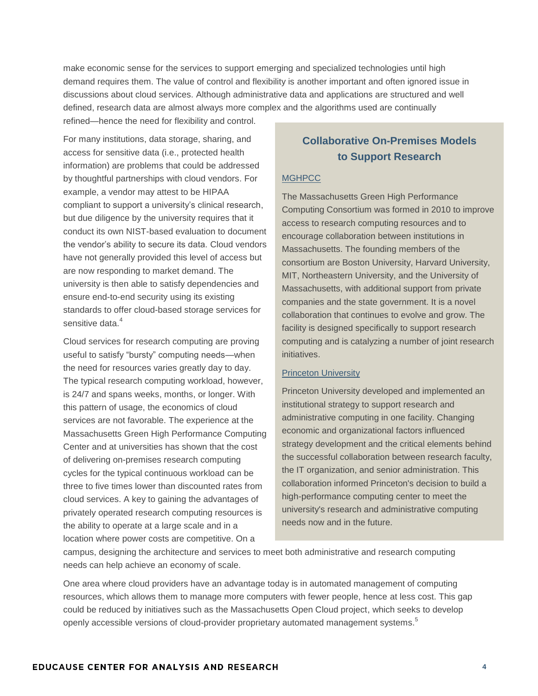make economic sense for the services to support emerging and specialized technologies until high demand requires them. The value of control and flexibility is another important and often ignored issue in discussions about cloud services. Although administrative data and applications are structured and well defined, research data are almost always more complex and the algorithms used are continually refined—hence the need for flexibility and control.

For many institutions, data storage, sharing, and access for sensitive data (i.e., protected health information) are problems that could be addressed by thoughtful partnerships with cloud vendors. For example, a vendor may attest to be HIPAA compliant to support a university's clinical research, but due diligence by the university requires that it conduct its own NIST-based evaluation to document the vendor's ability to secure its data. Cloud vendors have not generally provided this level of access but are now responding to market demand. The university is then able to satisfy dependencies and ensure end-to-end security using its existing standards to offer cloud-based storage services for sensitive data.<sup>4</sup>

Cloud services for research computing are proving useful to satisfy "bursty" computing needs—when the need for resources varies greatly day to day. The typical research computing workload, however, is 24/7 and spans weeks, months, or longer. With this pattern of usage, the economics of cloud services are not favorable. The experience at the Massachusetts Green High Performance Computing Center and at universities has shown that the cost of delivering on-premises research computing cycles for the typical continuous workload can be three to five times lower than discounted rates from cloud services. A key to gaining the advantages of privately operated research computing resources is the ability to operate at a large scale and in a location where power costs are competitive. On a

### **Collaborative On-Premises Models to Support Research**

#### **[MGHPCC](http://www.mghpcc.org/)**

The Massachusetts Green High Performance Computing Consortium was formed in 2010 to improve access to research computing resources and to encourage collaboration between institutions in Massachusetts. The founding members of the consortium are Boston University, Harvard University, MIT, Northeastern University, and the University of Massachusetts, with additional support from private companies and the state government. It is a novel collaboration that continues to evolve and grow. The facility is designed specifically to support research computing and is catalyzing a number of joint research initiatives.

#### [Princeton University](http://www.educause.edu/ero/article/building-modern-computing-infrastructure-princeton-university)

Princeton University developed and implemented an institutional strategy to support research and administrative computing in one facility. Changing economic and organizational factors influenced strategy development and the critical elements behind the successful collaboration between research faculty, the IT organization, and senior administration. This collaboration informed Princeton's decision to build a high-performance computing center to meet the university's research and administrative computing needs now and in the future.

campus, designing the architecture and services to meet both administrative and research computing needs can help achieve an economy of scale.

One area where cloud providers have an advantage today is in automated management of computing resources, which allows them to manage more computers with fewer people, hence at less cost. This gap could be reduced by initiatives such as the Massachusetts Open Cloud project, which seeks to develop openly accessible versions of cloud-provider proprietary automated management systems.<sup>5</sup>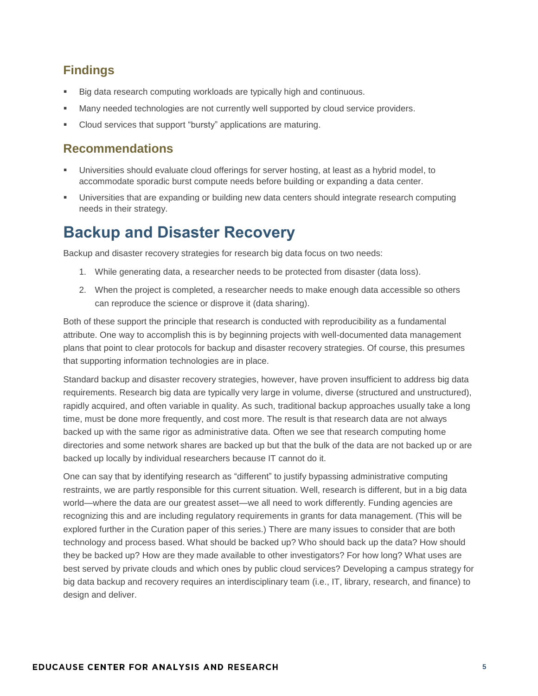### **Findings**

- Big data research computing workloads are typically high and continuous.
- Many needed technologies are not currently well supported by cloud service providers.
- Cloud services that support "bursty" applications are maturing.

### **Recommendations**

- Universities should evaluate cloud offerings for server hosting, at least as a hybrid model, to accommodate sporadic burst compute needs before building or expanding a data center.
- Universities that are expanding or building new data centers should integrate research computing needs in their strategy.

# **Backup and Disaster Recovery**

Backup and disaster recovery strategies for research big data focus on two needs:

- 1. While generating data, a researcher needs to be protected from disaster (data loss).
- 2. When the project is completed, a researcher needs to make enough data accessible so others can reproduce the science or disprove it (data sharing).

Both of these support the principle that research is conducted with reproducibility as a fundamental attribute. One way to accomplish this is by beginning projects with well-documented data management plans that point to clear protocols for backup and disaster recovery strategies. Of course, this presumes that supporting information technologies are in place.

Standard backup and disaster recovery strategies, however, have proven insufficient to address big data requirements. Research big data are typically very large in volume, diverse (structured and unstructured), rapidly acquired, and often variable in quality. As such, traditional backup approaches usually take a long time, must be done more frequently, and cost more. The result is that research data are not always backed up with the same rigor as administrative data. Often we see that research computing home directories and some network shares are backed up but that the bulk of the data are not backed up or are backed up locally by individual researchers because IT cannot do it.

One can say that by identifying research as "different" to justify bypassing administrative computing restraints, we are partly responsible for this current situation. Well, research is different, but in a big data world—where the data are our greatest asset—we all need to work differently. Funding agencies are recognizing this and are including regulatory requirements in grants for data management. (This will be explored further in the Curation paper of this series.) There are many issues to consider that are both technology and process based. What should be backed up? Who should back up the data? How should they be backed up? How are they made available to other investigators? For how long? What uses are best served by private clouds and which ones by public cloud services? Developing a campus strategy for big data backup and recovery requires an interdisciplinary team (i.e., IT, library, research, and finance) to design and deliver.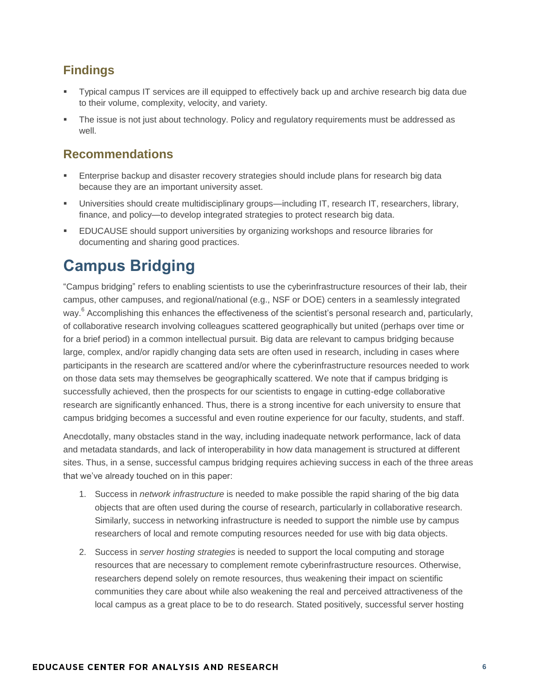### **Findings**

- Typical campus IT services are ill equipped to effectively back up and archive research big data due to their volume, complexity, velocity, and variety.
- The issue is not just about technology. Policy and regulatory requirements must be addressed as well.

### **Recommendations**

- Enterprise backup and disaster recovery strategies should include plans for research big data because they are an important university asset.
- Universities should create multidisciplinary groups—including IT, research IT, researchers, library, finance, and policy—to develop integrated strategies to protect research big data.
- EDUCAUSE should support universities by organizing workshops and resource libraries for documenting and sharing good practices.

# **Campus Bridging**

"Campus bridging" refers to enabling scientists to use the cyberinfrastructure resources of their lab, their campus, other campuses, and regional/national (e.g., NSF or DOE) centers in a seamlessly integrated way.<sup>6</sup> Accomplishing this enhances the effectiveness of the scientist's personal research and, particularly, of collaborative research involving colleagues scattered geographically but united (perhaps over time or for a brief period) in a common intellectual pursuit. Big data are relevant to campus bridging because large, complex, and/or rapidly changing data sets are often used in research, including in cases where participants in the research are scattered and/or where the cyberinfrastructure resources needed to work on those data sets may themselves be geographically scattered. We note that if campus bridging is successfully achieved, then the prospects for our scientists to engage in cutting-edge collaborative research are significantly enhanced. Thus, there is a strong incentive for each university to ensure that campus bridging becomes a successful and even routine experience for our faculty, students, and staff.

Anecdotally, many obstacles stand in the way, including inadequate network performance, lack of data and metadata standards, and lack of interoperability in how data management is structured at different sites. Thus, in a sense, successful campus bridging requires achieving success in each of the three areas that we've already touched on in this paper:

- 1. Success in *network infrastructure* is needed to make possible the rapid sharing of the big data objects that are often used during the course of research, particularly in collaborative research. Similarly, success in networking infrastructure is needed to support the nimble use by campus researchers of local and remote computing resources needed for use with big data objects.
- 2. Success in *server hosting strategies* is needed to support the local computing and storage resources that are necessary to complement remote cyberinfrastructure resources. Otherwise, researchers depend solely on remote resources, thus weakening their impact on scientific communities they care about while also weakening the real and perceived attractiveness of the local campus as a great place to be to do research. Stated positively, successful server hosting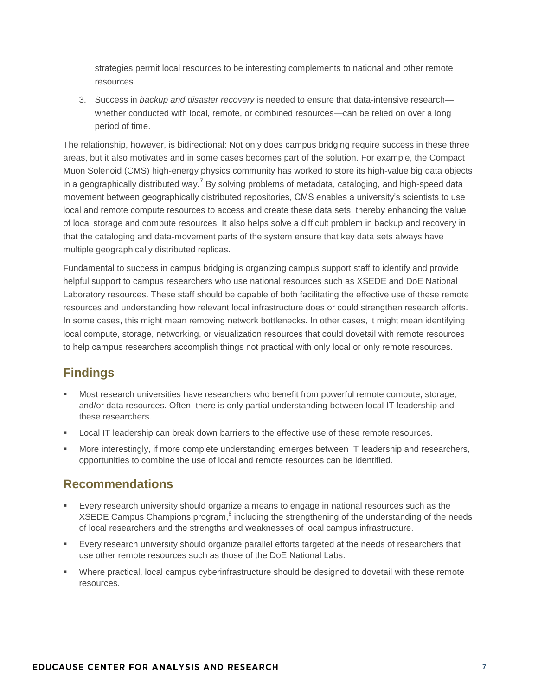strategies permit local resources to be interesting complements to national and other remote resources.

3. Success in *backup and disaster recovery* is needed to ensure that data-intensive research whether conducted with local, remote, or combined resources—can be relied on over a long period of time.

The relationship, however, is bidirectional: Not only does campus bridging require success in these three areas, but it also motivates and in some cases becomes part of the solution. For example, the Compact Muon Solenoid (CMS) high-energy physics community has worked to store its high-value big data objects in a geographically distributed way.<sup>7</sup> By solving problems of metadata, cataloging, and high-speed data movement between geographically distributed repositories, CMS enables a university's scientists to use local and remote compute resources to access and create these data sets, thereby enhancing the value of local storage and compute resources. It also helps solve a difficult problem in backup and recovery in that the cataloging and data-movement parts of the system ensure that key data sets always have multiple geographically distributed replicas.

Fundamental to success in campus bridging is organizing campus support staff to identify and provide helpful support to campus researchers who use national resources such as XSEDE and DoE National Laboratory resources. These staff should be capable of both facilitating the effective use of these remote resources and understanding how relevant local infrastructure does or could strengthen research efforts. In some cases, this might mean removing network bottlenecks. In other cases, it might mean identifying local compute, storage, networking, or visualization resources that could dovetail with remote resources to help campus researchers accomplish things not practical with only local or only remote resources.

### **Findings**

- Most research universities have researchers who benefit from powerful remote compute, storage, and/or data resources. Often, there is only partial understanding between local IT leadership and these researchers.
- **Local IT leadership can break down barriers to the effective use of these remote resources.**
- More interestingly, if more complete understanding emerges between IT leadership and researchers, opportunities to combine the use of local and remote resources can be identified.

### **Recommendations**

- Every research university should organize a means to engage in national resources such as the XSEDE Campus Champions program, $^{8}$  including the strengthening of the understanding of the needs of local researchers and the strengths and weaknesses of local campus infrastructure.
- Every research university should organize parallel efforts targeted at the needs of researchers that use other remote resources such as those of the DoE National Labs.
- Where practical, local campus cyberinfrastructure should be designed to dovetail with these remote resources.